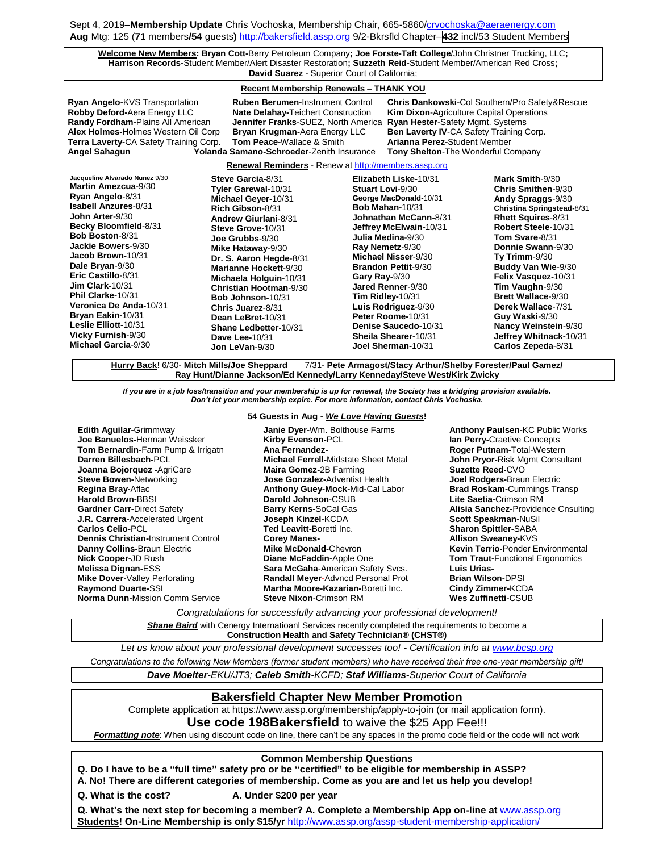Sept 4, 2019–**Membership Update** Chris Vochoska, Membership Chair, 665-586[0/crvochoska@aeraenergy.com](mailto:crvochoska@aeraenergy.com) **Aug** Mtg: 125 (**71** members**/54** guests**)** [http://bakersfield.assp.org](http://bakersfield.assp.org/) 9/2-Bkrsfld Chapter–**432** incl/53 Student Members

**Welcome New Members: Bryan Cott-**Berry Petroleum Company**; Joe Forste-Taft College**/John Christner Trucking, LLC**; Harrison Records-**Student Member/Alert Disaster Restoration**; Suzzeth Reid-**Student Member/American Red Cross**; David Suarez** - Superior Court of California;

### **Recent Membership Renewals – THANK YOU**

**Ryan Angelo-**KVS Transportation **Ruben Berumen-**Instrument Control **Chris Dankowski**-Col Southern/Pro Safety&Rescue **Robby Deford-**Aera Energy LLC **Nate Delahay-**Teichert Construction **Kim Dixon**-Agriculture Capital Operations **Jennifer Franks**-SUEZ, North America **Alex Holmes-**Holmes Western Oil Corp **Bryan Krugman-**Aera Energy LLC **Ben Laverty IV**-CA Safety Training Corp. **Terra Laverty-CA Safety Training Corp. Tom Peace-Wallace & Smith Angel Sahagun Yolanda Samano-Schroeder**-Zenith Insurance **Tony Shelton**-The Wonderful Company

**Renewal Reminders** - Renew a[t http://members.assp.org](http://members.assp.org/)

| Jacqueline Alvarado Nunez 9/30 | Steve Garcia-8/31        | Elizabeth Liske-10/31      | Mark Smith-9/30             |
|--------------------------------|--------------------------|----------------------------|-----------------------------|
| Martin Amezcua-9/30            | Tyler Garewal-10/31      | <b>Stuart Lovi-9/30</b>    | Chris Smithen-9/30          |
| Ryan Angelo-8/31               | Michael Geyer-10/31      | George MacDonald-10/31     | Andy Spraggs-9/30           |
| <b>Isabell Anzures-8/31</b>    | Rich Gibson-8/31         | Bob Mahan-10/31            | Christina Springstead-8/31  |
| <b>John Arter-9/30</b>         | Andrew Giurlani-8/31     | Johnathan McCann-8/31      | <b>Rhett Squires-8/31</b>   |
| Becky Bloomfield-8/31          | Steve Grove-10/31        | Jeffrey McElwain-10/31     | Robert Steele-10/31         |
| <b>Bob Boston-8/31</b>         | Joe Grubbs-9/30          | Julia Medina-9/30          | Tom Svare-8/31              |
| Jackie Bowers-9/30             | Mike Hataway-9/30        | Ray Nemetz-9/30            | Donnie Swann-9/30           |
| Jacob Brown-10/31              | Dr. S. Aaron Hegde-8/31  | Michael Nisser-9/30        | Ty Trimm- $9/30$            |
| Dale Bryan-9/30                | Marianne Hockett-9/30    | <b>Brandon Pettit-9/30</b> | <b>Buddy Van Wie-9/30</b>   |
| Eric Castillo-8/31             | Michaela Holguin-10/31   | Gary Ray-9/30              | Felix Vasquez-10/31         |
| Jim Clark- $10/31$             | Christian Hootman-9/30   | Jared Renner-9/30          | Tim Vaughn-9/30             |
| Phil Clarke-10/31              | <b>Bob Johnson-10/31</b> | Tim Ridley- $10/31$        | <b>Brett Wallace-9/30</b>   |
| Veronica De Anda-10/31         | Chris Juarez-8/31        | Luis Rodriguez-9/30        | Derek Wallace-7/31          |
| Bryan Eakin-10/31              | Dean LeBret-10/31        | Peter Roome-10/31          | Guy Waski-9/30              |
| Leslie Elliott-10/31           | Shane Ledbetter-10/31    | Denise Saucedo-10/31       | <b>Nancy Weinstein-9/30</b> |
| Vicky Furnish-9/30             | <b>Dave Lee-10/31</b>    | Sheila Shearer-10/31       | Jeffrey Whitnack-10/31      |
| <b>Michael Garcia-9/30</b>     | Jon LeVan-9/30           | Joel Sherman-10/31         | Carlos Zepeda-8/31          |

**Hurry Back!** 6/30- **Mitch Mills/Joe Sheppard** 7/31- **Pete Armagost/Stacy Arthur/Shelby Forester/Paul Gamez/ Ray Hunt/Dianne Jackson/Ed Kennedy/Larry Kenneday/Steve West/Kirk Zwicky**

*If you are in a job loss/transition and your membership is up for renewal, the Society has a bridging provision available. Don't let your membership expire. For more information, contact Chris Vochoska.*  **-----------------------------------------------------------------------------------------------------------------------------------------------------------------------**

**Edith Aguilar-**Grimmway **Joe Banuelos-**Herman Weissker **Tom Bernardin-**Farm Pump & Irrigatn **Darren Billesbach-**PCL **Joanna Bojorquez -**AgriCare **Steve Bowen-**Networking **Regina Bray-**Aflac **Harold Brown-**BBSI **Gardner Carr-**Direct Safety **J.R. Carrera-**Accelerated Urgent **Carlos Celio-**PCL **Dennis Christian-**Instrument Control **Danny Collins-**Braun Electric **Nick Cooper-**JD Rush **Melissa Dignan-**ESS **Mike Dover-**Valley Perforating **Raymond Duarte-**SSI **Norma Dunn-**Mission Comm Service

## **54 Guests in Aug -** *We Love Having Guests***!**

**Janie Dyer-**Wm. Bolthouse Farms **Kirby Evenson-**PCL **Ana Fernandez-Michael Ferrell-**Midstate Sheet Metal **Maira Gomez-**2B Farming **Jose Gonzalez-**Adventist Health **Anthony Guey-Mock-**Mid-Cal Labor **Darold Johnson**-CSUB **Barry Kerns-**SoCal Gas **Joseph Kinzel-**KCDA **Ted Leavitt-**Boretti Inc. **Corey Manes-Mike McDonald-**Chevron **Diane McFaddin-**Apple One **Sara McGaha**-American Safety Svcs. **Randall Meyer**-Advncd Personal Prot **Martha Moore-Kazarian-**Boretti Inc. **Steve Nixon**-Crimson RM

**Anthony Paulsen-**KC Public Works **Ian Perry-**Craetive Concepts **Roger Putnam-**Total-Western **John Pryor-**Risk Mgmt Consultant **Suzette Reed-**CVO **Joel Rodgers-**Braun Electric **Brad Roskam-**Cummings Transp **Lite Saetia-**Crimson RM **Alisia Sanchez-**Providence Cnsulting **Scott Speakman-**NuSil **Sharon Spittler-**SABA **Allison Sweaney-**KVS **Kevin Terrio-**Ponder Environmental **Tom Traut-**Functional Ergonomics **Luis Urias-Brian Wilson-**DPSI **Cindy Zimmer-**KCDA **Wes Zuffinetti**-CSUB

*Congratulations for successfully advancing your professional development!*

**Shane Baird** with Cenergy Internatioanl Services recently completed the requirements to become a **Construction Health and Safety Technician® (CHST®)**

*Let us know about your professional development successes too! - Certification info a[t www.bcsp.org](http://www.bcsp.org/)*

*Congratulations to the following New Members (former student members) who have received their free one-year membership gift!*

*Dave Moelter-EKU/JT3; Caleb Smith-KCFD; Staf Williams-Superior Court of California*

## **Bakersfield Chapter New Member Promotion**

Complete application at https://www.assp.org/membership/apply-to-join (or mail application form).

**Use code 198Bakersfield** to waive the \$25 App Fee!!!

*Formatting note*: When using discount code on line, there can't be any spaces in the promo code field or the code will not work

## **Common Membership Questions**

**Q. Do I have to be a "full time" safety pro or be "certified" to be eligible for membership in ASSP?** 

**A. No! There are different categories of membership. Come as you are and let us help you develop!**

**Q. What is the cost? A. Under \$200 per year**

**Q. What's the next step for becoming a member? A. Complete a Membership App on-line at** [www.assp.org](http://www.assp.org/) **Students! On-Line Membership is only \$15/yr** <http://www.assp.org/assp-student-membership-application/>